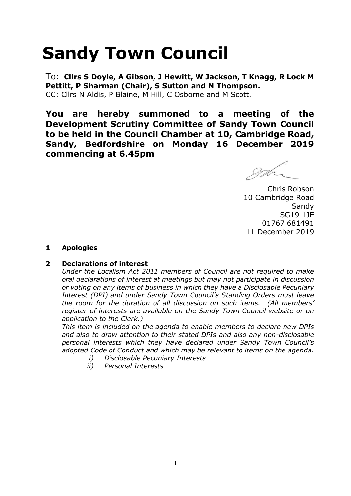# **Sandy Town Council**

To: **Cllrs S Doyle, A Gibson, J Hewitt, W Jackson, T Knagg, R Lock M Pettitt, P Sharman (Chair), S Sutton and N Thompson.**  CC: Cllrs N Aldis, P Blaine, M Hill, C Osborne and M Scott.

**You are hereby summoned to a meeting of the Development Scrutiny Committee of Sandy Town Council to be held in the Council Chamber at 10, Cambridge Road, Sandy, Bedfordshire on Monday 16 December 2019 commencing at 6.45pm**

Chris Robson 10 Cambridge Road Sandy SG19 1JE 01767 681491 11 December 2019

## **1 Apologies**

## **2 Declarations of interest**

*Under the Localism Act 2011 members of Council are not required to make oral declarations of interest at meetings but may not participate in discussion or voting on any items of business in which they have a Disclosable Pecuniary Interest (DPI) and under Sandy Town Council's Standing Orders must leave the room for the duration of all discussion on such items. (All members' register of interests are available on the Sandy Town Council website or on application to the Clerk.)* 

*This item is included on the agenda to enable members to declare new DPIs and also to draw attention to their stated DPIs and also any non-disclosable personal interests which they have declared under Sandy Town Council's adopted Code of Conduct and which may be relevant to items on the agenda.* 

- *i) Disclosable Pecuniary Interests*
- *ii) Personal Interests*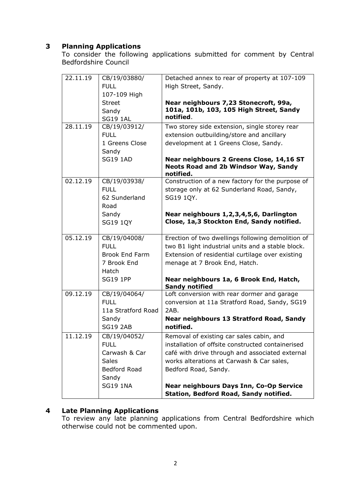# **3 Planning Applications**

To consider the following applications submitted for comment by Central Bedfordshire Council

| 22.11.19 | CB/19/03880/                         | Detached annex to rear of property at 107-109                                                        |
|----------|--------------------------------------|------------------------------------------------------------------------------------------------------|
|          | <b>FULL</b>                          | High Street, Sandy.                                                                                  |
|          | 107-109 High                         |                                                                                                      |
|          | <b>Street</b>                        | Near neighbours 7,23 Stonecroft, 99a,                                                                |
|          | Sandy                                | 101a, 101b, 103, 105 High Street, Sandy                                                              |
|          | <b>SG19 1AL</b>                      | notified.                                                                                            |
| 28.11.19 | CB/19/03912/                         | Two storey side extension, single storey rear                                                        |
|          | <b>FULL</b>                          | extension outbuilding/store and ancillary                                                            |
|          | 1 Greens Close                       | development at 1 Greens Close, Sandy.                                                                |
|          | Sandy                                |                                                                                                      |
|          | <b>SG19 1AD</b>                      | Near neighbours 2 Greens Close, 14,16 ST<br><b>Neots Road and 2b Windsor Way, Sandy</b><br>notified. |
| 02.12.19 | CB/19/03938/                         | Construction of a new factory for the purpose of                                                     |
|          | <b>FULL</b>                          | storage only at 62 Sunderland Road, Sandy,                                                           |
|          | 62 Sunderland                        | SG19 1QY.                                                                                            |
|          | Road                                 |                                                                                                      |
|          | Sandy                                | Near neighbours 1,2,3,4,5,6, Darlington                                                              |
|          | <b>SG19 1QY</b>                      | Close, 1a,3 Stockton End, Sandy notified.                                                            |
|          |                                      |                                                                                                      |
| 05.12.19 | CB/19/04008/                         | Erection of two dwellings following demolition of                                                    |
|          | <b>FULL</b>                          | two B1 light industrial units and a stable block.                                                    |
|          | <b>Brook End Farm</b><br>7 Brook End | Extension of residential curtilage over existing<br>menage at 7 Brook End, Hatch.                    |
|          | Hatch                                |                                                                                                      |
|          | <b>SG19 1PP</b>                      | Near neighbours 1a, 6 Brook End, Hatch,                                                              |
|          |                                      | <b>Sandy notified</b>                                                                                |
| 09.12.19 | CB/19/04064/                         | Loft conversion with rear dormer and garage                                                          |
|          | <b>FULL</b>                          | conversion at 11a Stratford Road, Sandy, SG19                                                        |
|          | 11a Stratford Road                   | 2AB.                                                                                                 |
|          | Sandy                                | Near neighbours 13 Stratford Road, Sandy                                                             |
|          | <b>SG19 2AB</b>                      | notified.                                                                                            |
| 11.12.19 | CB/19/04052/                         | Removal of existing car sales cabin, and                                                             |
|          | <b>FULL</b>                          | installation of offsite constructed containerised                                                    |
|          | Carwash & Car                        | café with drive through and associated external                                                      |
|          | <b>Sales</b>                         | works alterations at Carwash & Car sales,                                                            |
|          | Bedford Road                         | Bedford Road, Sandy.                                                                                 |
|          | Sandy                                |                                                                                                      |
|          | <b>SG19 1NA</b>                      | Near neighbours Days Inn, Co-Op Service                                                              |
|          |                                      | Station, Bedford Road, Sandy notified.                                                               |

#### **4 Late Planning Applications**

To review any late planning applications from Central Bedfordshire which otherwise could not be commented upon.